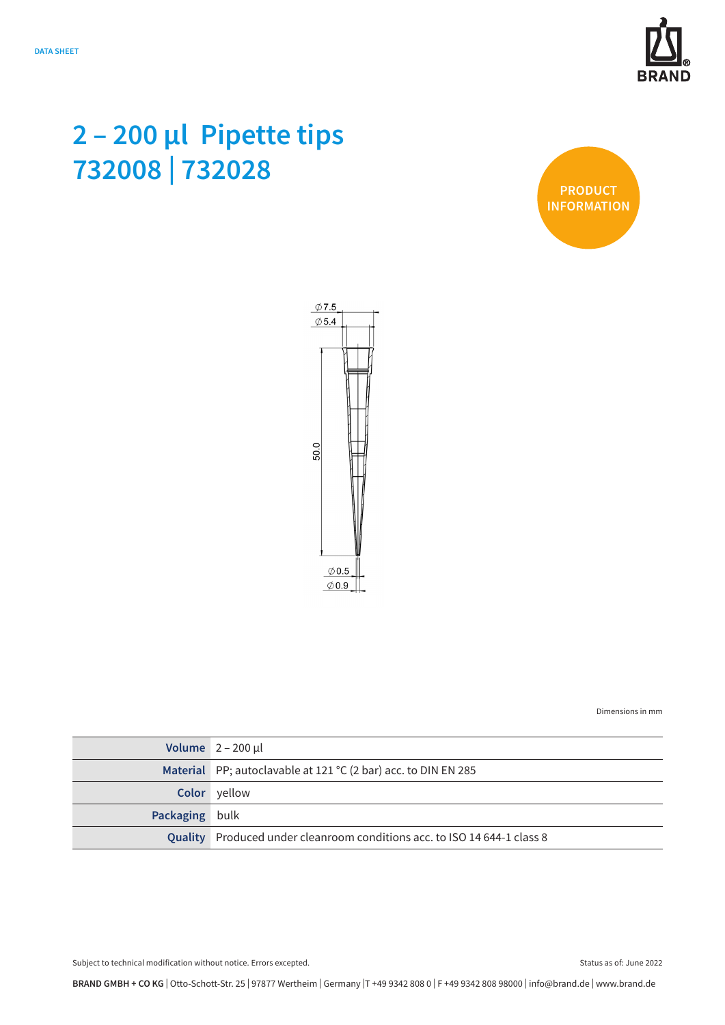

## **2 – 200 µl Pipette tips 732008 | 732028**





Dimensions in mm

|                | Volume $2 - 200 \mu l$                                                   |
|----------------|--------------------------------------------------------------------------|
|                | Material PP; autoclavable at 121 °C (2 bar) acc. to DIN EN 285           |
|                | <b>Color</b> yellow                                                      |
| Packaging bulk |                                                                          |
|                | Quality Produced under cleanroom conditions acc. to ISO 14 644-1 class 8 |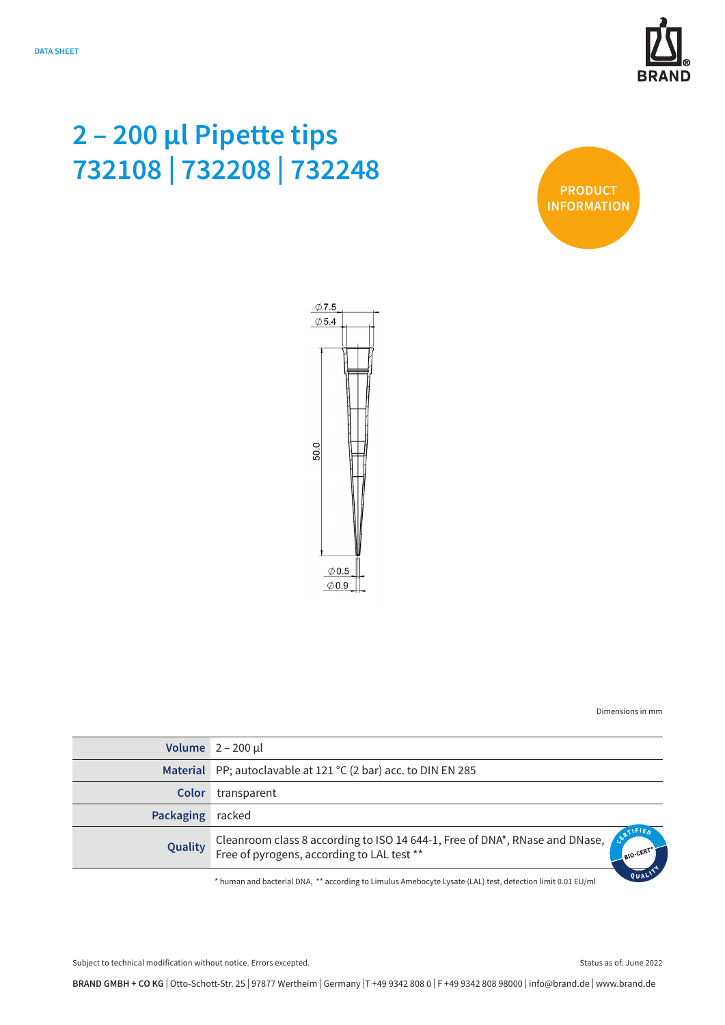

## **2 – 200 µl Pipette tips 732108 | 732208 | 732248**





Dimensions in mm

|           | Volume $2 - 200$ µl                                                         |
|-----------|-----------------------------------------------------------------------------|
|           | Material PP; autoclavable at 121 °C (2 bar) acc. to DIN EN 285              |
| Color     | transparent                                                                 |
| Packaging | racked                                                                      |
| Quality   | Cleanroom class 8 according to ISO 14 644-1, Free of DNA*, RNase and DNase, |

\* human and bacterial DNA, \*\* according to Limulus Amebocyte Lysate (LAL) test, detection limit 0.01 EU/ml

**BRAND GMBH + CO KG** | Otto-Schott-Str. 25 | 97877 Wertheim | Germany |T +49 9342 808 0 | F +49 9342 808 98000 | info@brand.de | www.brand.de